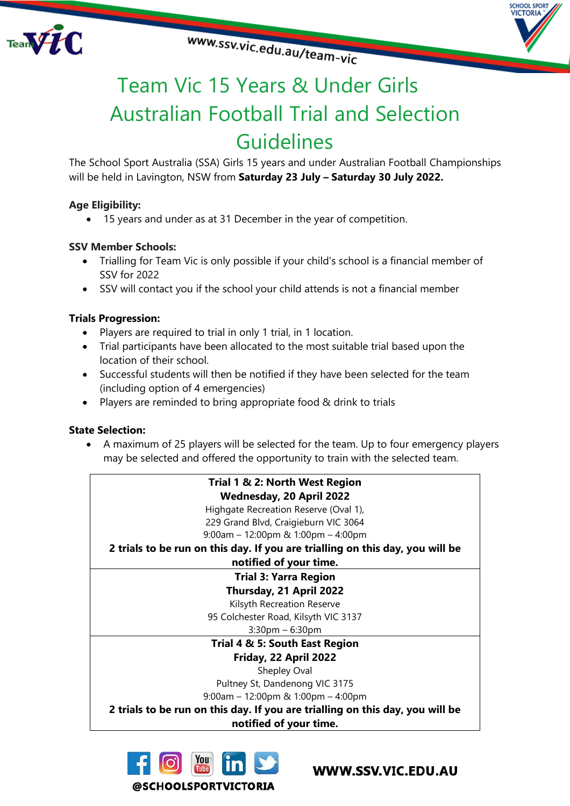



**CHOOL SPORT VICTORIA** 

# Team Vic 15 Years & Under Girls Australian Football Trial and Selection **Guidelines**

The School Sport Australia (SSA) Girls 15 years and under Australian Football Championships will be held in Lavington, NSW from **Saturday 23 July – Saturday 30 July 2022.**

## **Age Eligibility:**

• 15 years and under as at 31 December in the year of competition.

### **SSV Member Schools:**

- Trialling for Team Vic is only possible if your child's school is a financial member of SSV for 2022
- SSV will contact you if the school your child attends is not a financial member

### **Trials Progression:**

- Players are required to trial in only 1 trial, in 1 location.
- Trial participants have been allocated to the most suitable trial based upon the location of their school.
- Successful students will then be notified if they have been selected for the team (including option of 4 emergencies)
- Players are reminded to bring appropriate food & drink to trials

### **State Selection:**

• A maximum of 25 players will be selected for the team. Up to four emergency players may be selected and offered the opportunity to train with the selected team.





WWW.SSV.VIC.EDU.AU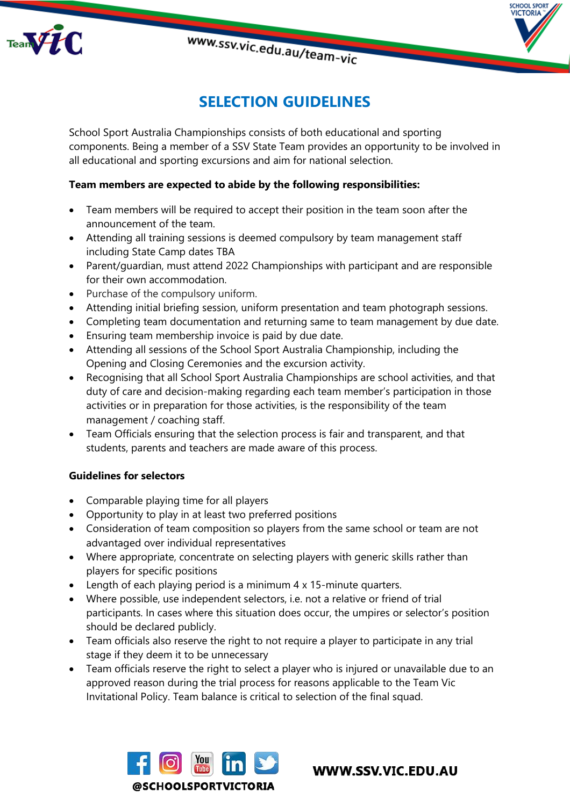

# **SELECTION GUIDELINES**

VICTORIA

School Sport Australia Championships consists of both educational and sporting components. Being a member of a SSV State Team provides an opportunity to be involved in all educational and sporting excursions and aim for national selection.

### **Team members are expected to abide by the following responsibilities:**

- Team members will be required to accept their position in the team soon after the announcement of the team.
- Attending all training sessions is deemed compulsory by team management staff including State Camp dates TBA
- Parent/guardian, must attend 2022 Championships with participant and are responsible for their own accommodation.
- Purchase of the compulsory uniform.
- Attending initial briefing session, uniform presentation and team photograph sessions.
- Completing team documentation and returning same to team management by due date.
- Ensuring team membership invoice is paid by due date.
- Attending all sessions of the School Sport Australia Championship, including the Opening and Closing Ceremonies and the excursion activity.
- Recognising that all School Sport Australia Championships are school activities, and that duty of care and decision-making regarding each team member's participation in those activities or in preparation for those activities, is the responsibility of the team management / coaching staff.
- Team Officials ensuring that the selection process is fair and transparent, and that students, parents and teachers are made aware of this process.

### **Guidelines for selectors**

- Comparable playing time for all players
- Opportunity to play in at least two preferred positions
- Consideration of team composition so players from the same school or team are not advantaged over individual representatives
- Where appropriate, concentrate on selecting players with generic skills rather than players for specific positions
- Length of each playing period is a minimum 4 x 15-minute quarters.
- Where possible, use independent selectors, i.e. not a relative or friend of trial participants. In cases where this situation does occur, the umpires or selector's position should be declared publicly.
- Team officials also reserve the right to not require a player to participate in any trial stage if they deem it to be unnecessary
- Team officials reserve the right to select a player who is injured or unavailable due to an approved reason during the trial process for reasons applicable to the Team Vic Invitational Policy. Team balance is critical to selection of the final squad.



WWW.SSV.VIC.EDU.AU